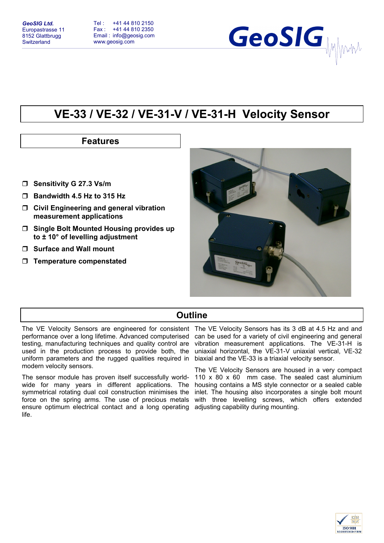

# **VE-33 / VE-32 / VE-31-V / VE-31-H Velocity Sensor**

## **Features**

- **Sensitivity G 27.3 Vs/m**
- **Bandwidth 4.5 Hz to 315 Hz**
- **Civil Engineering and general vibration measurement applications**
- **Single Bolt Mounted Housing provides up to ± 10° of levelling adjustment**
- **Surface and Wall mount**
- **Temperature compenstated**



### **Outline**

The VE Velocity Sensors are engineered for consistent The VE Velocity Sensors has its 3 dB at 4.5 Hz and and performance over a long lifetime. Advanced computerised testing, manufacturing techniques and quality control are used in the production process to provide both, the uniform parameters and the rugged qualities required in modern velocity sensors.

The sensor module has proven itself successfully worldwide for many years in different applications. The housing contains a MS style connector or a sealed cable symmetrical rotating dual coil construction minimises the force on the spring arms. The use of precious metals with three levelling screws, which offers extended ensure optimum electrical contact and a long operating adjusting capability during mounting. life.

can be used for a variety of civil engineering and general vibration measurement applications. The VE-31-H is uniaxial horizontal, the VE-31-V uniaxial vertical, VE-32 biaxial and the VE-33 is a triaxial velocity sensor.

The VE Velocity Sensors are housed in a very compact 110 x 80 x 60 mm case. The sealed cast aluminium inlet. The housing also incorporates a single bolt mount